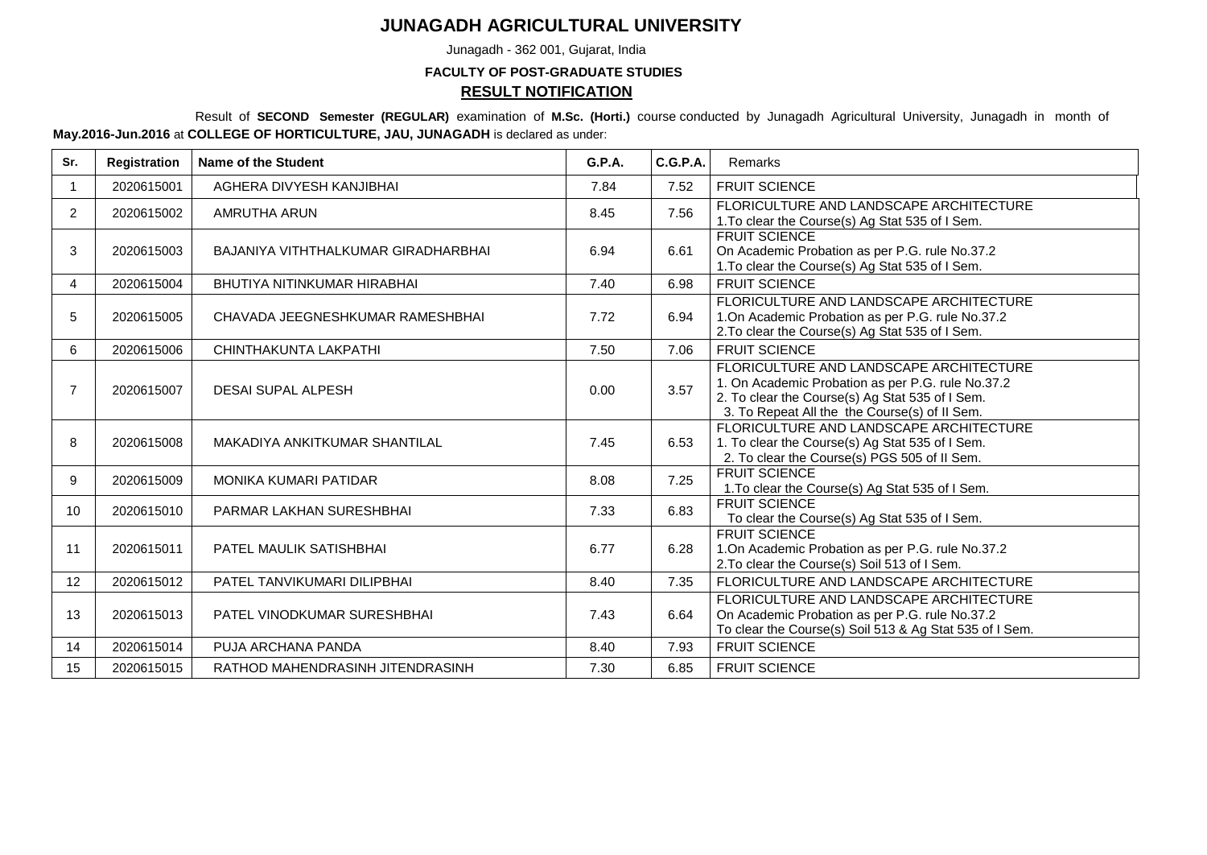## **JUNAGADH AGRICULTURAL UNIVERSITY**

Junagadh - 362 001, Gujarat, India

## **FACULTY OF POST-GRADUATE STUDIES RESULT NOTIFICATION**

Result of **SECOND Semester (REGULAR)** examination of **M.Sc. (Horti.)** course conducted by Junagadh Agricultural University, Junagadh in month of **May.2016-Jun.2016** at **COLLEGE OF HORTICULTURE, JAU, JUNAGADH** is declared as under:

| Sr.            | Registration | Name of the Student                 | <b>G.P.A.</b> | C.G.P.A. | Remarks                                                                                                                                                                                          |  |
|----------------|--------------|-------------------------------------|---------------|----------|--------------------------------------------------------------------------------------------------------------------------------------------------------------------------------------------------|--|
|                | 2020615001   | AGHERA DIVYESH KANJIBHAI            | 7.84          | 7.52     | <b>FRUIT SCIENCE</b>                                                                                                                                                                             |  |
| $\overline{2}$ | 2020615002   | AMRUTHA ARUN                        | 8.45          | 7.56     | FLORICULTURE AND LANDSCAPE ARCHITECTURE<br>1. To clear the Course(s) Ag Stat 535 of I Sem.                                                                                                       |  |
| 3              | 2020615003   | BAJANIYA VITHTHALKUMAR GIRADHARBHAI | 6.94          | 6.61     | <b>FRUIT SCIENCE</b><br>On Academic Probation as per P.G. rule No.37.2<br>1. To clear the Course(s) Ag Stat 535 of I Sem.                                                                        |  |
| 4              | 2020615004   | BHUTIYA NITINKUMAR HIRABHAI         | 7.40          | 6.98     | <b>FRUIT SCIENCE</b>                                                                                                                                                                             |  |
| 5              | 2020615005   | CHAVADA JEEGNESHKUMAR RAMESHBHAI    | 7.72          | 6.94     | FLORICULTURE AND LANDSCAPE ARCHITECTURE<br>1.On Academic Probation as per P.G. rule No.37.2<br>2. To clear the Course(s) Ag Stat 535 of I Sem.                                                   |  |
| 6              | 2020615006   | CHINTHAKUNTA LAKPATHI               | 7.50          | 7.06     | <b>FRUIT SCIENCE</b>                                                                                                                                                                             |  |
| $\overline{7}$ | 2020615007   | <b>DESAI SUPAL ALPESH</b>           | 0.00          | 3.57     | FLORICULTURE AND LANDSCAPE ARCHITECTURE<br>1. On Academic Probation as per P.G. rule No.37.2<br>2. To clear the Course(s) Ag Stat 535 of I Sem.<br>3. To Repeat All the the Course(s) of II Sem. |  |
| 8              | 2020615008   | MAKADIYA ANKITKUMAR SHANTILAL       | 7.45          | 6.53     | FLORICULTURE AND LANDSCAPE ARCHITECTURE<br>1. To clear the Course(s) Ag Stat 535 of I Sem.<br>2. To clear the Course(s) PGS 505 of II Sem.                                                       |  |
| 9              | 2020615009   | <b>MONIKA KUMARI PATIDAR</b>        | 8.08          | 7.25     | <b>FRUIT SCIENCE</b><br>1. To clear the Course(s) Ag Stat 535 of I Sem.                                                                                                                          |  |
| 10             | 2020615010   | PARMAR LAKHAN SURESHBHAI            | 7.33          | 6.83     | <b>FRUIT SCIENCE</b><br>To clear the Course(s) Ag Stat 535 of I Sem.                                                                                                                             |  |
| 11             | 2020615011   | PATEL MAULIK SATISHBHAI             | 6.77          | 6.28     | <b>FRUIT SCIENCE</b><br>1.On Academic Probation as per P.G. rule No.37.2<br>2. To clear the Course(s) Soil 513 of I Sem.                                                                         |  |
| 12             | 2020615012   | PATEL TANVIKUMARI DILIPBHAI         | 8.40          | 7.35     | FLORICULTURE AND LANDSCAPE ARCHITECTURE                                                                                                                                                          |  |
| 13             | 2020615013   | PATEL VINODKUMAR SURESHBHAI         | 7.43          | 6.64     | FLORICULTURE AND LANDSCAPE ARCHITECTURE<br>On Academic Probation as per P.G. rule No.37.2<br>To clear the Course(s) Soil 513 & Ag Stat 535 of I Sem.                                             |  |
| 14             | 2020615014   | PUJA ARCHANA PANDA                  | 8.40          | 7.93     | <b>FRUIT SCIENCE</b>                                                                                                                                                                             |  |
| 15             | 2020615015   | RATHOD MAHENDRASINH JITENDRASINH    | 7.30          | 6.85     | <b>FRUIT SCIENCE</b>                                                                                                                                                                             |  |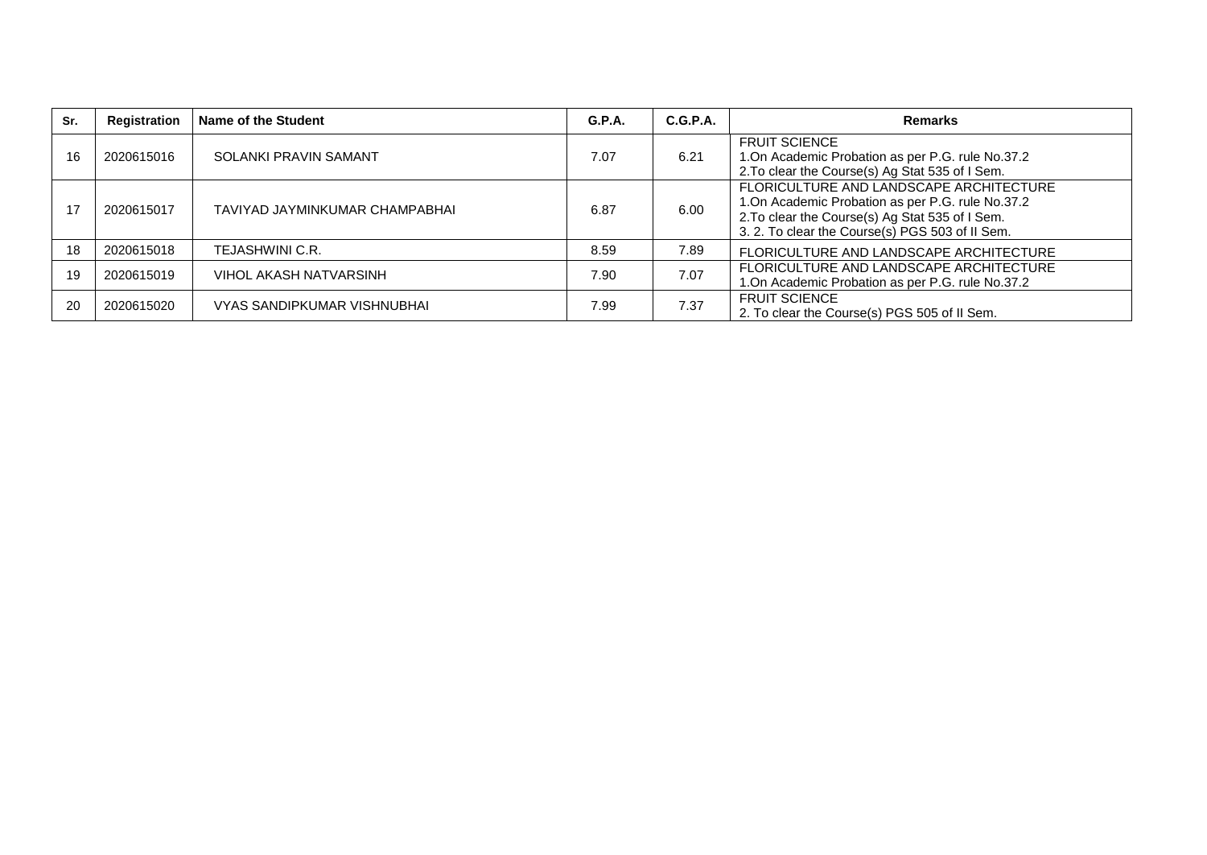| Sr. | Registration | Name of the Student            | <b>G.P.A.</b> | C.G.P.A. | <b>Remarks</b>                                                                                                                                                                                     |
|-----|--------------|--------------------------------|---------------|----------|----------------------------------------------------------------------------------------------------------------------------------------------------------------------------------------------------|
| 16  | 2020615016   | SOLANKI PRAVIN SAMANT          | 7.07          | 6.21     | <b>FRUIT SCIENCE</b><br>1. On Academic Probation as per P.G. rule No.37.2<br>2. To clear the Course(s) Ag Stat 535 of I Sem.                                                                       |
| 17  | 2020615017   | TAVIYAD JAYMINKUMAR CHAMPABHAI | 6.87          | 6.00     | FLORICULTURE AND LANDSCAPE ARCHITECTURE<br>1. On Academic Probation as per P.G. rule No.37.2<br>2. To clear the Course(s) Ag Stat 535 of I Sem.<br>3. 2. To clear the Course(s) PGS 503 of II Sem. |
| 18  | 2020615018   | TEJASHWINI C.R.                | 8.59          | 7.89     | FLORICULTURE AND LANDSCAPE ARCHITECTURE                                                                                                                                                            |
| 19  | 2020615019   | VIHOL AKASH NATVARSINH         | 7.90          | 7.07     | FLORICULTURE AND LANDSCAPE ARCHITECTURE<br>1.On Academic Probation as per P.G. rule No.37.2                                                                                                        |
| 20  | 2020615020   | VYAS SANDIPKUMAR VISHNUBHAI    | 7.99          | 7.37     | <b>FRUIT SCIENCE</b><br>2. To clear the Course(s) PGS 505 of II Sem.                                                                                                                               |